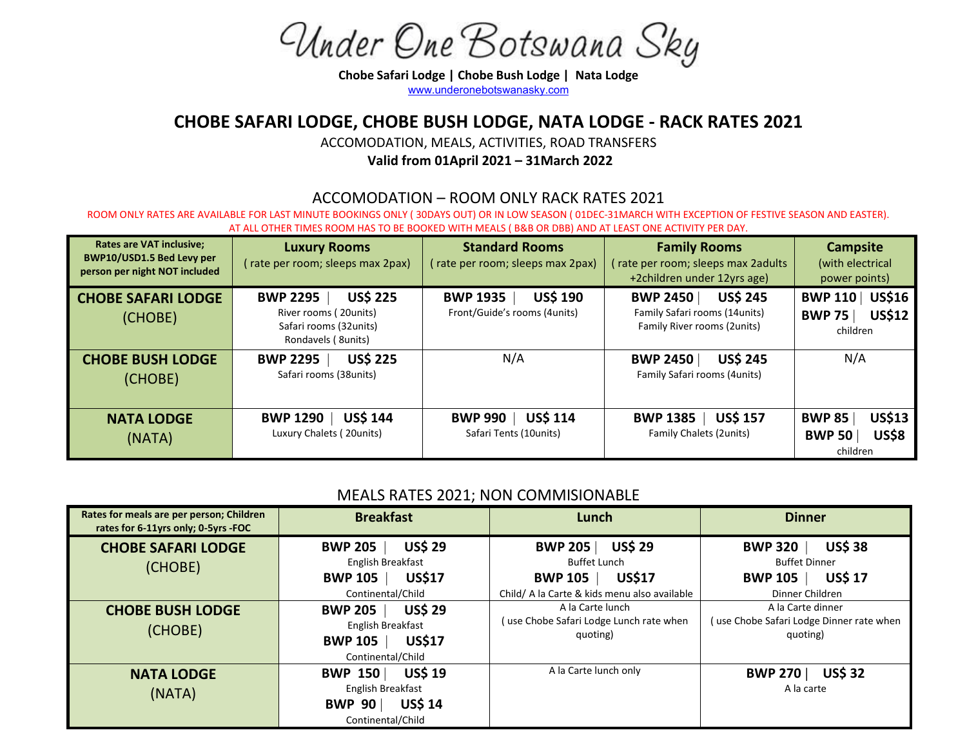Under One Botswana Sky

Chobe Safari Lodge | Chobe Bush Lodge | Nata Lodge [www.underonebotswanasky.com](http://www.underonebotswanasky.com/)

## CHOBE SAFARI LODGE, CHOBE BUSH LODGE, NATA LODGE - RACK RATES 2021

ACCOMODATION, MEALS, ACTIVITIES, ROAD TRANSFERS Valid from 01April 2021 – 31March 2022

### ACCOMODATION – ROOM ONLY RACK RATES 2021

ROOM ONLY RATES ARE AVAILABLE FOR LAST MINUTE BOOKINGS ONLY ( 30DAYS OUT) OR IN LOW SEASON ( 01DEC-31MARCH WITH EXCEPTION OF FESTIVE SEASON AND EASTER). AT ALL OTHER TIMES ROOM HAS TO BE BOOKED WITH MEALS ( B&B OR DBB) AND AT LEAST ONE ACTIVITY PER DAY.

| <b>Rates are VAT inclusive;</b><br>BWP10/USD1.5 Bed Levy per<br>person per night NOT included | <b>Luxury Rooms</b><br>(rate per room; sleeps max 2pax)                                                      | <b>Standard Rooms</b><br>(rate per room; sleeps max 2pax)          | <b>Family Rooms</b><br>(rate per room; sleeps max 2adults<br>+2children under 12yrs age)            | <b>Campsite</b><br>(with electrical<br>power points)                          |
|-----------------------------------------------------------------------------------------------|--------------------------------------------------------------------------------------------------------------|--------------------------------------------------------------------|-----------------------------------------------------------------------------------------------------|-------------------------------------------------------------------------------|
| <b>CHOBE SAFARI LODGE</b><br>(CHOBE)                                                          | <b>US\$ 225</b><br><b>BWP 2295</b><br>River rooms (20 units)<br>Safari rooms (32units)<br>Rondavels (8units) | <b>US\$ 190</b><br><b>BWP 1935</b><br>Front/Guide's rooms (4units) | <b>US\$ 245</b><br><b>BWP 2450</b><br>Family Safari rooms (14 units)<br>Family River rooms (2units) | <b>US\$16</b><br><b>BWP 110</b><br><b>US\$12</b><br><b>BWP 75</b><br>children |
| <b>CHOBE BUSH LODGE</b><br>(CHOBE)                                                            | <b>US\$ 225</b><br><b>BWP 2295</b><br>Safari rooms (38units)                                                 | N/A                                                                | <b>US\$ 245</b><br><b>BWP 2450</b><br>Family Safari rooms (4units)                                  | N/A                                                                           |
| <b>NATA LODGE</b><br>(NATA)                                                                   | <b>US\$ 144</b><br><b>BWP 1290</b><br>Luxury Chalets (20units)                                               | <b>US\$ 114</b><br><b>BWP 990</b><br>Safari Tents (10units)        | US\$ 157<br><b>BWP 1385</b><br><b>Family Chalets (2units)</b>                                       | <b>US\$13</b><br><b>BWP 85</b><br><b>US\$8</b><br><b>BWP 50</b><br>children   |

### MEALS RATES 2021; NON COMMISIONABLE

| Rates for meals are per person; Children<br>rates for 6-11yrs only; 0-5yrs -FOC | <b>Breakfast</b>                                                                                              | Lunch                                                                                                                                      | <b>Dinner</b>                                                                                                   |
|---------------------------------------------------------------------------------|---------------------------------------------------------------------------------------------------------------|--------------------------------------------------------------------------------------------------------------------------------------------|-----------------------------------------------------------------------------------------------------------------|
| <b>CHOBE SAFARI LODGE</b><br>(CHOBE)                                            | <b>US\$ 29</b><br><b>BWP 205</b><br>English Breakfast<br><b>US\$17</b><br><b>BWP 105</b><br>Continental/Child | <b>US\$ 29</b><br><b>BWP 205</b><br><b>Buffet Lunch</b><br><b>US\$17</b><br><b>BWP 105</b><br>Child/ A la Carte & kids menu also available | <b>US\$ 38</b><br><b>BWP 320</b><br><b>Buffet Dinner</b><br><b>US\$ 17</b><br><b>BWP 105</b><br>Dinner Children |
| <b>CHOBE BUSH LODGE</b><br>(CHOBE)                                              | <b>US\$ 29</b><br><b>BWP 205</b><br>English Breakfast<br><b>US\$17</b><br><b>BWP 105</b><br>Continental/Child | A la Carte lunch<br>(use Chobe Safari Lodge Lunch rate when<br>quoting)                                                                    | A la Carte dinner<br>use Chobe Safari Lodge Dinner rate when<br>quoting)                                        |
| <b>NATA LODGE</b><br>(NATA)                                                     | <b>US\$ 19</b><br><b>BWP 150</b><br>English Breakfast<br><b>US\$ 14</b><br><b>BWP 90</b><br>Continental/Child | A la Carte lunch only                                                                                                                      | <b>US\$32</b><br><b>BWP 270</b><br>A la carte                                                                   |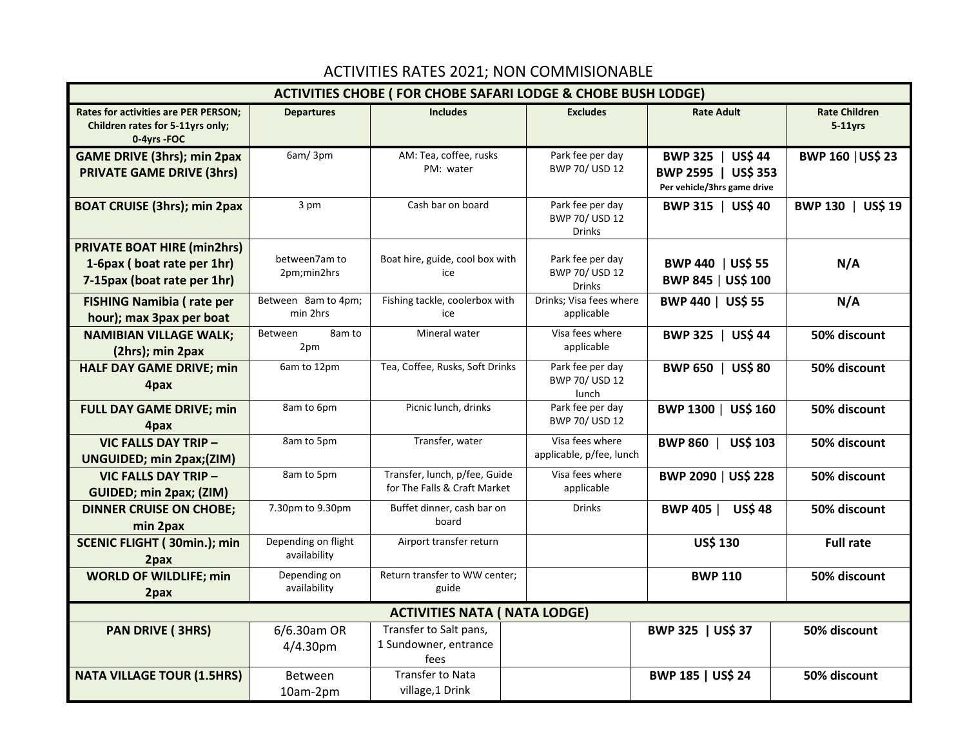# ACTIVITIES RATES 2021; NON COMMISIONABLE

| <b>ACTIVITIES CHOBE ( FOR CHOBE SAFARI LODGE &amp; CHOBE BUSH LODGE)</b>                        |                                     |                                                               |                                                     |                                                                                       |                                    |
|-------------------------------------------------------------------------------------------------|-------------------------------------|---------------------------------------------------------------|-----------------------------------------------------|---------------------------------------------------------------------------------------|------------------------------------|
| Rates for activities are PER PERSON;<br>Children rates for 5-11yrs only;<br>0-4yrs -FOC         | <b>Departures</b>                   | <b>Includes</b>                                               | <b>Excludes</b>                                     | <b>Rate Adult</b>                                                                     | <b>Rate Children</b><br>$5-11$ yrs |
| <b>GAME DRIVE (3hrs); min 2pax</b><br><b>PRIVATE GAME DRIVE (3hrs)</b>                          | 6am/3pm                             | AM: Tea, coffee, rusks<br>PM: water                           | Park fee per day<br>BWP 70/ USD 12                  | <b>US\$44</b><br><b>BWP 325</b><br>BWP 2595   US\$ 353<br>Per vehicle/3hrs game drive | <b>BWP 160   US\$ 23</b>           |
| <b>BOAT CRUISE (3hrs); min 2pax</b>                                                             | 3 pm                                | Cash bar on board                                             | Park fee per day<br>BWP 70/ USD 12<br>Drinks        | BWP 315  <br><b>US\$ 40</b>                                                           | BWP 130  <br><b>US\$ 19</b>        |
| <b>PRIVATE BOAT HIRE (min2hrs)</b><br>1-6pax (boat rate per 1hr)<br>7-15pax (boat rate per 1hr) | between7am to<br>2pm;min2hrs        | Boat hire, guide, cool box with<br>ice                        | Park fee per day<br>BWP 70/ USD 12<br><b>Drinks</b> | BWP 440   US\$ 55<br>BWP 845   US\$ 100                                               | N/A                                |
| <b>FISHING Namibia (rate per</b><br>hour); max 3pax per boat                                    | Between 8am to 4pm;<br>min 2hrs     | Fishing tackle, coolerbox with<br>ice                         | Drinks; Visa fees where<br>applicable               | BWP 440   US\$ 55                                                                     | N/A                                |
| <b>NAMIBIAN VILLAGE WALK;</b><br>(2hrs); min 2pax                                               | Between<br>8am to<br>2pm            | Mineral water                                                 | Visa fees where<br>applicable                       | <b>US\$44</b><br><b>BWP 325</b>                                                       | 50% discount                       |
| <b>HALF DAY GAME DRIVE; min</b><br>4pax                                                         | 6am to 12pm                         | Tea, Coffee, Rusks, Soft Drinks                               | Park fee per day<br>BWP 70/ USD 12<br>lunch         | <b>BWP 650</b><br><b>US\$80</b>                                                       | 50% discount                       |
| <b>FULL DAY GAME DRIVE; min</b><br>4pax                                                         | 8am to 6pm                          | Picnic lunch, drinks                                          | Park fee per day<br>BWP 70/ USD 12                  | BWP 1300   US\$ 160                                                                   | 50% discount                       |
| <b>VIC FALLS DAY TRIP -</b><br><b>UNGUIDED; min 2pax;(ZIM)</b>                                  | 8am to 5pm                          | Transfer, water                                               | Visa fees where<br>applicable, p/fee, lunch         | BWP 860  <br><b>US\$ 103</b>                                                          | 50% discount                       |
| <b>VIC FALLS DAY TRIP -</b><br>GUIDED; min 2pax; (ZIM)                                          | 8am to 5pm                          | Transfer, lunch, p/fee, Guide<br>for The Falls & Craft Market | Visa fees where<br>applicable                       | BWP 2090   US\$ 228                                                                   | 50% discount                       |
| <b>DINNER CRUISE ON CHOBE;</b><br>min 2pax                                                      | 7.30pm to 9.30pm                    | Buffet dinner, cash bar on<br>board                           | <b>Drinks</b>                                       | <b>BWP 405  </b><br><b>US\$48</b>                                                     | 50% discount                       |
| <b>SCENIC FLIGHT (30min.); min</b><br>2pax                                                      | Depending on flight<br>availability | Airport transfer return                                       |                                                     | <b>US\$ 130</b>                                                                       | <b>Full rate</b>                   |
| <b>WORLD OF WILDLIFE; min</b><br>2pax                                                           | Depending on<br>availability        | Return transfer to WW center;<br>guide                        |                                                     | <b>BWP 110</b>                                                                        | 50% discount                       |
| <b>ACTIVITIES NATA ( NATA LODGE)</b>                                                            |                                     |                                                               |                                                     |                                                                                       |                                    |
| <b>PAN DRIVE (3HRS)</b>                                                                         | 6/6.30am OR<br>4/4.30pm             | Transfer to Salt pans,<br>1 Sundowner, entrance<br>fees       |                                                     | BWP 325   US\$ 37                                                                     | 50% discount                       |
| <b>NATA VILLAGE TOUR (1.5HRS)</b>                                                               | Between<br>10am-2pm                 | <b>Transfer to Nata</b><br>village, 1 Drink                   |                                                     | BWP 185   US\$ 24                                                                     | 50% discount                       |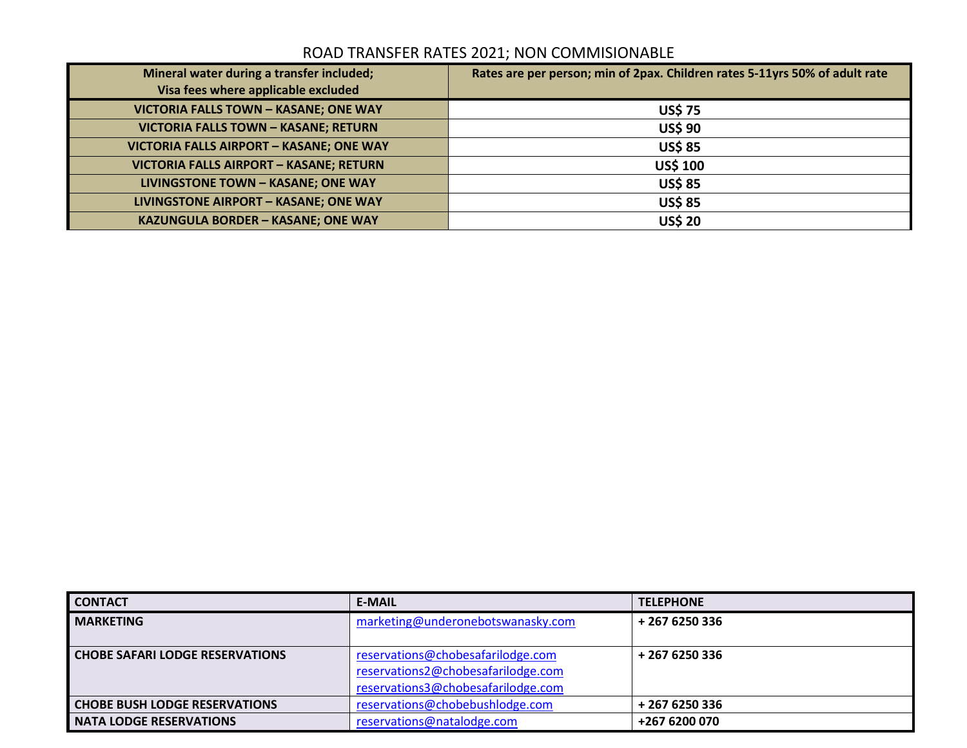## ROAD TRANSFER RATES 2021; NON COMMISIONABLE

| Mineral water during a transfer included;<br>Visa fees where applicable excluded | Rates are per person; min of 2pax. Children rates 5-11yrs 50% of adult rate |
|----------------------------------------------------------------------------------|-----------------------------------------------------------------------------|
| <b>VICTORIA FALLS TOWN - KASANE; ONE WAY</b>                                     | <b>US\$75</b>                                                               |
| <b>VICTORIA FALLS TOWN - KASANE; RETURN</b>                                      | <b>US\$ 90</b>                                                              |
| <b>VICTORIA FALLS AIRPORT - KASANE; ONE WAY</b>                                  | <b>US\$ 85</b>                                                              |
| <b>VICTORIA FALLS AIRPORT - KASANE; RETURN</b>                                   | <b>US\$ 100</b>                                                             |
| <b>LIVINGSTONE TOWN - KASANE; ONE WAY</b>                                        | <b>US\$85</b>                                                               |
| LIVINGSTONE AIRPORT - KASANE; ONE WAY                                            | <b>US\$ 85</b>                                                              |
| <b>KAZUNGULA BORDER - KASANE; ONE WAY</b>                                        | <b>US\$ 20</b>                                                              |

| <b>CONTACT</b>                         | <b>E-MAIL</b>                      | <b>TELEPHONE</b> |
|----------------------------------------|------------------------------------|------------------|
| <b>MARKETING</b>                       | marketing@underonebotswanasky.com  | + 267 6250 336   |
|                                        |                                    |                  |
| <b>CHOBE SAFARI LODGE RESERVATIONS</b> | reservations@chobesafarilodge.com  | + 267 6250 336   |
|                                        | reservations2@chobesafarilodge.com |                  |
|                                        | reservations3@chobesafarilodge.com |                  |
| <b>CHOBE BUSH LODGE RESERVATIONS</b>   | reservations@chobebushlodge.com    | + 267 6250 336   |
| <b>NATA LODGE RESERVATIONS</b>         | reservations@natalodge.com         | +267 6200 070    |